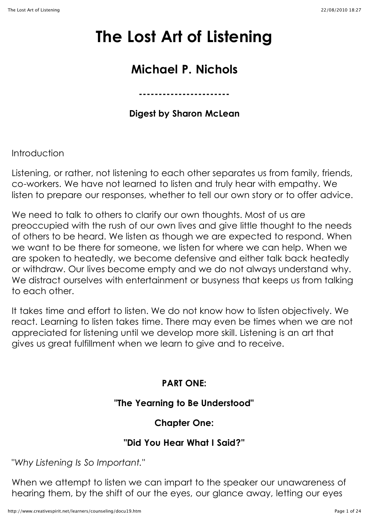# **The Lost Art of Listening**

## **Michael P. Nichols**

**Digest by Sharon McLean**

**-----------------------**

Introduction

Listening, or rather, not listening to each other separates us from family, friends, co-workers. We have not learned to listen and truly hear with empathy. We listen to prepare our responses, whether to tell our own story or to offer advice.

We need to talk to others to clarify our own thoughts. Most of us are preoccupied with the rush of our own lives and give little thought to the needs of others to be heard. We listen as though we are expected to respond. When we want to be there for someone, we listen for where we can help. When we are spoken to heatedly, we become defensive and either talk back heatedly or withdraw. Our lives become empty and we do not always understand why. We distract ourselves with entertainment or busyness that keeps us from talking to each other.

It takes time and effort to listen. We do not know how to listen objectively. We react. Learning to listen takes time. There may even be times when we are not appreciated for listening until we develop more skill. Listening is an art that gives us great fulfillment when we learn to give and to receive.

## **PART ONE:**

## **"The Yearning to Be Understood"**

## **Chapter One:**

## **"Did You Hear What I Said?"**

"*Why Listening Is So Important."*

When we attempt to listen we can impart to the speaker our unawareness of hearing them, by the shift of our the eyes, our glance away, letting our eyes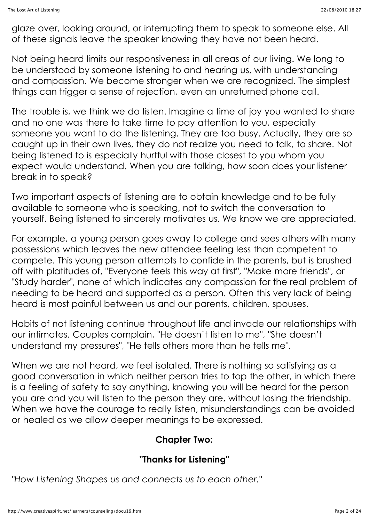glaze over, looking around, or interrupting them to speak to someone else. All of these signals leave the speaker knowing they have not been heard.

Not being heard limits our responsiveness in all areas of our living. We long to be understood by someone listening to and hearing us, with understanding and compassion. We become stronger when we are recognized. The simplest things can trigger a sense of rejection, even an unreturned phone call.

The trouble is, we think we do listen. Imagine a time of joy you wanted to share and no one was there to take time to pay attention to you, especially someone you want to do the listening. They are too busy. Actually, they are so caught up in their own lives, they do not realize you need to talk, to share. Not being listened to is especially hurtful with those closest to you whom you expect would understand. When you are talking, how soon does your listener break in to speak?

Two important aspects of listening are to obtain knowledge and to be fully available to someone who is speaking, not to switch the conversation to yourself. Being listened to sincerely motivates us. We know we are appreciated.

For example, a young person goes away to college and sees others with many possessions which leaves the new attendee feeling less than competent to compete. This young person attempts to confide in the parents, but is brushed off with platitudes of, "Everyone feels this way at first", "Make more friends", or "Study harder", none of which indicates any compassion for the real problem of needing to be heard and supported as a person. Often this very lack of being heard is most painful between us and our parents, children, spouses.

Habits of not listening continue throughout life and invade our relationships with our intimates. Couples complain, "He doesn't listen to me", "She doesn't understand my pressures", "He tells others more than he tells me".

When we are not heard, we feel isolated. There is nothing so satisfying as a good conversation in which neither person tries to top the other, in which there is a feeling of safety to say anything, knowing you will be heard for the person you are and you will listen to the person they are, without losing the friendship. When we have the courage to really listen, misunderstandings can be avoided or healed as we allow deeper meanings to be expressed.

#### **Chapter Two:**

## **"Thanks for Listening"**

*"How Listening Shapes us and connects us to each other."*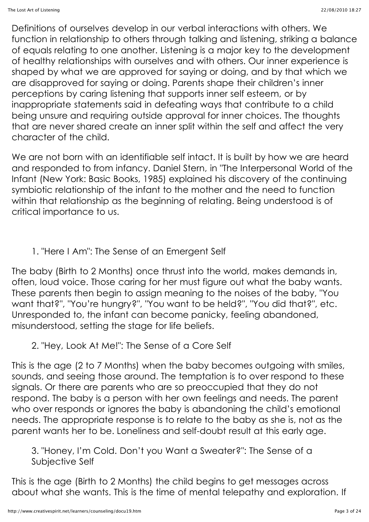Definitions of ourselves develop in our verbal interactions with others. We function in relationship to others through talking and listening, striking a balance of equals relating to one another. Listening is a major key to the development of healthy relationships with ourselves and with others. Our inner experience is shaped by what we are approved for saying or doing, and by that which we are disapproved for saying or doing. Parents shape their children's inner perceptions by caring listening that supports inner self esteem, or by inappropriate statements said in defeating ways that contribute to a child being unsure and requiring outside approval for inner choices. The thoughts that are never shared create an inner split within the self and affect the very character of the child.

We are not born with an identifiable self intact. It is built by how we are heard and responded to from infancy. Daniel Stern, in "The Interpersonal World of the Infant (New York: Basic Books, 1985) explained his discovery of the continuing symbiotic relationship of the infant to the mother and the need to function within that relationship as the beginning of relating. Being understood is of critical importance to us.

1. "Here I Am": The Sense of an Emergent Self

The baby (Birth to 2 Months) once thrust into the world, makes demands in, often, loud voice. Those caring for her must figure out what the baby wants. These parents then begin to assign meaning to the noises of the baby, "You want that?", "You're hungry?", "You want to be held?", "You did that?", etc. Unresponded to, the infant can become panicky, feeling abandoned, misunderstood, setting the stage for life beliefs.

2. "Hey, Look At Me!": The Sense of a Core Self

This is the age (2 to 7 Months) when the baby becomes outgoing with smiles, sounds, and seeing those around. The temptation is to over respond to these signals. Or there are parents who are so preoccupied that they do not respond. The baby is a person with her own feelings and needs. The parent who over responds or ignores the baby is abandoning the child's emotional needs. The appropriate response is to relate to the baby as she is, not as the parent wants her to be. Loneliness and self-doubt result at this early age.

3. "Honey, I'm Cold. Don't you Want a Sweater?": The Sense of a Subjective Self

This is the age (Birth to 2 Months) the child begins to get messages across about what she wants. This is the time of mental telepathy and exploration. If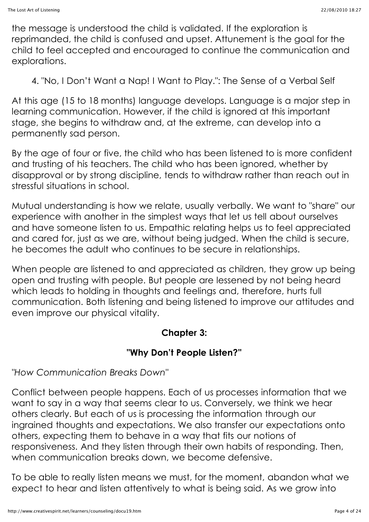the message is understood the child is validated. If the exploration is reprimanded, the child is confused and upset. Attunement is the goal for the child to feel accepted and encouraged to continue the communication and explorations.

4. "No, I Don't Want a Nap! I Want to Play.": The Sense of a Verbal Self

At this age (15 to 18 months) language develops. Language is a major step in learning communication. However, if the child is ignored at this important stage, she begins to withdraw and, at the extreme, can develop into a permanently sad person.

By the age of four or five, the child who has been listened to is more confident and trusting of his teachers. The child who has been ignored, whether by disapproval or by strong discipline, tends to withdraw rather than reach out in stressful situations in school.

Mutual understanding is how we relate, usually verbally. We want to "share" our experience with another in the simplest ways that let us tell about ourselves and have someone listen to us. Empathic relating helps us to feel appreciated and cared for, just as we are, without being judged. When the child is secure, he becomes the adult who continues to be secure in relationships.

When people are listened to and appreciated as children, they grow up being open and trusting with people. But people are lessened by not being heard which leads to holding in thoughts and feelings and, therefore, hurts full communication. Both listening and being listened to improve our attitudes and even improve our physical vitality.

## **Chapter 3:**

## **"Why Don't People Listen?"**

## *"How Communication Breaks Down"*

Conflict between people happens. Each of us processes information that we want to say in a way that seems clear to us. Conversely, we think we hear others clearly. But each of us is processing the information through our ingrained thoughts and expectations. We also transfer our expectations onto others, expecting them to behave in a way that fits our notions of responsiveness. And they listen through their own habits of responding. Then, when communication breaks down, we become defensive.

To be able to really listen means we must, for the moment, abandon what we expect to hear and listen attentively to what is being said. As we grow into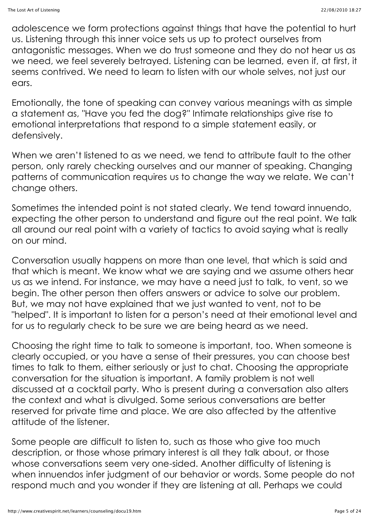adolescence we form protections against things that have the potential to hurt us. Listening through this inner voice sets us up to protect ourselves from antagonistic messages. When we do trust someone and they do not hear us as we need, we feel severely betrayed. Listening can be learned, even if, at first, it seems contrived. We need to learn to listen with our whole selves, not just our ears.

Emotionally, the tone of speaking can convey various meanings with as simple a statement as, "Have you fed the dog?" Intimate relationships give rise to emotional interpretations that respond to a simple statement easily, or defensively.

When we aren't listened to as we need, we tend to attribute fault to the other person, only rarely checking ourselves and our manner of speaking. Changing patterns of communication requires us to change the way we relate. We can't change others.

Sometimes the intended point is not stated clearly. We tend toward innuendo, expecting the other person to understand and figure out the real point. We talk all around our real point with a variety of tactics to avoid saying what is really on our mind.

Conversation usually happens on more than one level, that which is said and that which is meant. We know what we are saying and we assume others hear us as we intend. For instance, we may have a need just to talk, to vent, so we begin. The other person then offers answers or advice to solve our problem. But, we may not have explained that we just wanted to vent, not to be "helped". It is important to listen for a person's need at their emotional level and for us to regularly check to be sure we are being heard as we need.

Choosing the right time to talk to someone is important, too. When someone is clearly occupied, or you have a sense of their pressures, you can choose best times to talk to them, either seriously or just to chat. Choosing the appropriate conversation for the situation is important. A family problem is not well discussed at a cocktail party. Who is present during a conversation also alters the context and what is divulged. Some serious conversations are better reserved for private time and place. We are also affected by the attentive attitude of the listener.

Some people are difficult to listen to, such as those who give too much description, or those whose primary interest is all they talk about, or those whose conversations seem very one-sided. Another difficulty of listening is when innuendos infer judgment of our behavior or words. Some people do not respond much and you wonder if they are listening at all. Perhaps we could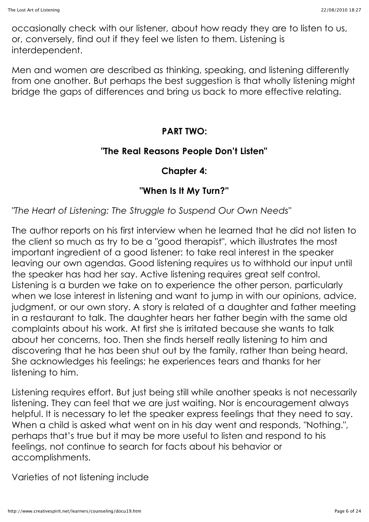occasionally check with our listener, about how ready they are to listen to us, or, conversely, find out if they feel we listen to them. Listening is interdependent.

Men and women are described as thinking, speaking, and listening differently from one another. But perhaps the best suggestion is that wholly listening might bridge the gaps of differences and bring us back to more effective relating.

## **PART TWO:**

#### **"The Real Reasons People Don't Listen"**

## **Chapter 4:**

## **"When Is It My Turn?"**

*"The Heart of Listening: The Struggle to Suspend Our Own Needs"*

The author reports on his first interview when he learned that he did not listen to the client so much as try to be a "good therapist", which illustrates the most important ingredient of a good listener: to take real interest in the speaker leaving our own agendas. Good listening requires us to withhold our input until the speaker has had her say. Active listening requires great self control. Listening is a burden we take on to experience the other person, particularly when we lose interest in listening and want to jump in with our opinions, advice, judgment, or our own story. A story is related of a daughter and father meeting in a restaurant to talk. The daughter hears her father begin with the same old complaints about his work. At first she is irritated because she wants to talk about her concerns, too. Then she finds herself really listening to him and discovering that he has been shut out by the family, rather than being heard. She acknowledges his feelings; he experiences tears and thanks for her listening to him.

Listening requires effort. But just being still while another speaks is not necessarily listening. They can feel that we are just waiting. Nor is encouragement always helpful. It is necessary to let the speaker express feelings that they need to say. When a child is asked what went on in his day went and responds, "Nothing.", perhaps that's true but it may be more useful to listen and respond to his feelings, not continue to search for facts about his behavior or accomplishments.

Varieties of not listening include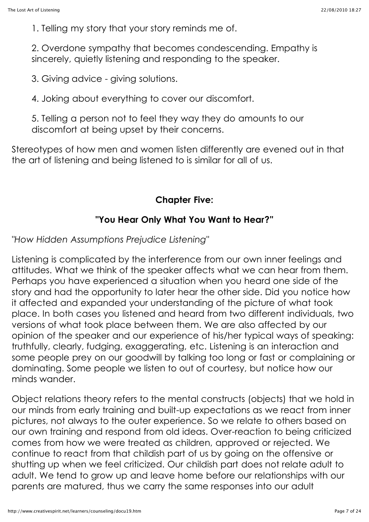1. Telling my story that your story reminds me of.

2. Overdone sympathy that becomes condescending. Empathy is sincerely, quietly listening and responding to the speaker.

3. Giving advice - giving solutions.

4. Joking about everything to cover our discomfort.

5. Telling a person not to feel they way they do amounts to our discomfort at being upset by their concerns.

Stereotypes of how men and women listen differently are evened out in that the art of listening and being listened to is similar for all of us.

#### **Chapter Five:**

#### **"You Hear Only What You Want to Hear?"**

*"How Hidden Assumptions Prejudice Listening"*

Listening is complicated by the interference from our own inner feelings and attitudes. What we think of the speaker affects what we can hear from them. Perhaps you have experienced a situation when you heard one side of the story and had the opportunity to later hear the other side. Did you notice how it affected and expanded your understanding of the picture of what took place. In both cases you listened and heard from two different individuals, two versions of what took place between them. We are also affected by our opinion of the speaker and our experience of his/her typical ways of speaking: truthfully, clearly, fudging, exaggerating, etc. Listening is an interaction and some people prey on our goodwill by talking too long or fast or complaining or dominating. Some people we listen to out of courtesy, but notice how our minds wander.

Object relations theory refers to the mental constructs (objects) that we hold in our minds from early training and built-up expectations as we react from inner pictures, not always to the outer experience. So we relate to others based on our own training and respond from old ideas. Over-reaction to being criticized comes from how we were treated as children, approved or rejected. We continue to react from that childish part of us by going on the offensive or shutting up when we feel criticized. Our childish part does not relate adult to adult. We tend to grow up and leave home before our relationships with our parents are matured, thus we carry the same responses into our adult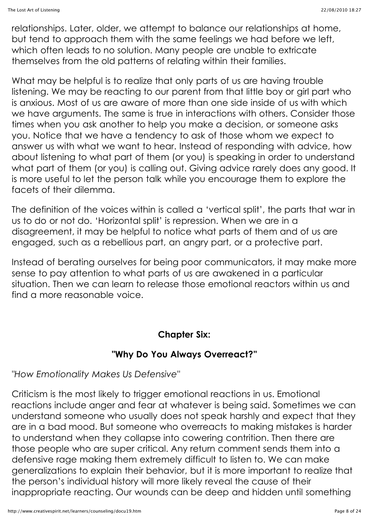relationships. Later, older, we attempt to balance our relationships at home, but tend to approach them with the same feelings we had before we left, which often leads to no solution. Many people are unable to extricate themselves from the old patterns of relating within their families.

What may be helpful is to realize that only parts of us are having trouble listening. We may be reacting to our parent from that little boy or girl part who is anxious. Most of us are aware of more than one side inside of us with which we have arguments. The same is true in interactions with others. Consider those times when you ask another to help you make a decision, or someone asks you. Notice that we have a tendency to ask of those whom we expect to answer us with what we want to hear. Instead of responding with advice, how about listening to what part of them (or you) is speaking in order to understand what part of them (or you) is calling out. Giving advice rarely does any good. It is more useful to let the person talk while you encourage them to explore the facets of their dilemma.

The definition of the voices within is called a 'vertical split', the parts that war in us to do or not do. 'Horizontal split' is repression. When we are in a disagreement, it may be helpful to notice what parts of them and of us are engaged, such as a rebellious part, an angry part, or a protective part.

Instead of berating ourselves for being poor communicators, it may make more sense to pay attention to what parts of us are awakened in a particular situation. Then we can learn to release those emotional reactors within us and find a more reasonable voice.

#### **Chapter Six:**

#### **"Why Do You Always Overreact?"**

*"How Emotionality Makes Us Defensive"*

Criticism is the most likely to trigger emotional reactions in us. Emotional reactions include anger and fear at whatever is being said. Sometimes we can understand someone who usually does not speak harshly and expect that they are in a bad mood. But someone who overreacts to making mistakes is harder to understand when they collapse into cowering contrition. Then there are those people who are super critical. Any return comment sends them into a defensive rage making them extremely difficult to listen to. We can make generalizations to explain their behavior, but it is more important to realize that the person's individual history will more likely reveal the cause of their inappropriate reacting. Our wounds can be deep and hidden until something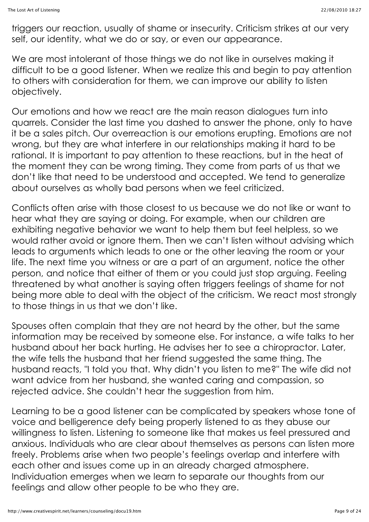triggers our reaction, usually of shame or insecurity. Criticism strikes at our very self, our identity, what we do or say, or even our appearance.

We are most intolerant of those things we do not like in ourselves making it difficult to be a good listener. When we realize this and begin to pay attention to others with consideration for them, we can improve our ability to listen objectively.

Our emotions and how we react are the main reason dialogues turn into quarrels. Consider the last time you dashed to answer the phone, only to have it be a sales pitch. Our overreaction is our emotions erupting. Emotions are not wrong, but they are what interfere in our relationships making it hard to be rational. It is important to pay attention to these reactions, but in the heat of the moment they can be wrong timing. They come from parts of us that we don't like that need to be understood and accepted. We tend to generalize about ourselves as wholly bad persons when we feel criticized.

Conflicts often arise with those closest to us because we do not like or want to hear what they are saying or doing. For example, when our children are exhibiting negative behavior we want to help them but feel helpless, so we would rather avoid or ignore them. Then we can't listen without advising which leads to arguments which leads to one or the other leaving the room or your life. The next time you witness or are a part of an argument, notice the other person, and notice that either of them or you could just stop arguing. Feeling threatened by what another is saying often triggers feelings of shame for not being more able to deal with the object of the criticism. We react most strongly to those things in us that we don't like.

Spouses often complain that they are not heard by the other, but the same information may be received by someone else. For instance, a wife talks to her husband about her back hurting. He advises her to see a chiropractor. Later, the wife tells the husband that her friend suggested the same thing. The husband reacts, "I told you that. Why didn't you listen to me?" The wife did not want advice from her husband, she wanted caring and compassion, so rejected advice. She couldn't hear the suggestion from him.

Learning to be a good listener can be complicated by speakers whose tone of voice and belligerence defy being properly listened to as they abuse our willingness to listen. Listening to someone like that makes us feel pressured and anxious. Individuals who are clear about themselves as persons can listen more freely. Problems arise when two people's feelings overlap and interfere with each other and issues come up in an already charged atmosphere. Individuation emerges when we learn to separate our thoughts from our feelings and allow other people to be who they are.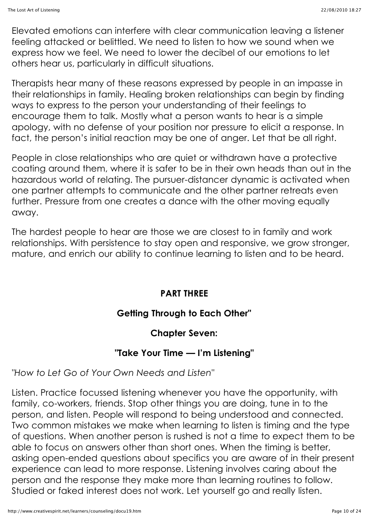Elevated emotions can interfere with clear communication leaving a listener feeling attacked or belittled. We need to listen to how we sound when we express how we feel. We need to lower the decibel of our emotions to let others hear us, particularly in difficult situations.

Therapists hear many of these reasons expressed by people in an impasse in their relationships in family. Healing broken relationships can begin by finding ways to express to the person your understanding of their feelings to encourage them to talk. Mostly what a person wants to hear is a simple apology, with no defense of your position nor pressure to elicit a response. In fact, the person's initial reaction may be one of anger. Let that be all right.

People in close relationships who are quiet or withdrawn have a protective coating around them, where it is safer to be in their own heads than out in the hazardous world of relating. The pursuer-distancer dynamic is activated when one partner attempts to communicate and the other partner retreats even further. Pressure from one creates a dance with the other moving equally away.

The hardest people to hear are those we are closest to in family and work relationships. With persistence to stay open and responsive, we grow stronger, mature, and enrich our ability to continue learning to listen and to be heard.

#### **PART THREE**

## **Getting Through to Each Other"**

#### **Chapter Seven:**

#### **"Take Your Time — I'm Listening"**

*"How to Let Go of Your Own Needs and Listen"*

Listen. Practice focussed listening whenever you have the opportunity, with family, co-workers, friends. Stop other things you are doing, tune in to the person, and listen. People will respond to being understood and connected. Two common mistakes we make when learning to listen is timing and the type of questions. When another person is rushed is not a time to expect them to be able to focus on answers other than short ones. When the timing is better, asking open-ended questions about specifics you are aware of in their present experience can lead to more response. Listening involves caring about the person and the response they make more than learning routines to follow. Studied or faked interest does not work. Let yourself go and really listen.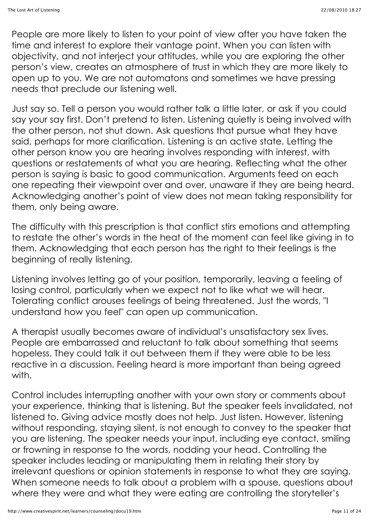People are more likely to listen to your point of view after you have taken the time and interest to explore their vantage point. When you can listen with objectivity, and not interject your attitudes, while you are exploring the other person's view, creates an atmosphere of trust in which they are more likely to open up to you. We are not automatons and sometimes we have pressing needs that preclude our listening well.

Just say so. Tell a person you would rather talk a little later, or ask if you could say your say first. Don't pretend to listen. Listening quietly is being involved with the other person, not shut down. Ask questions that pursue what they have said, perhaps for more clarification. Listening is an active state. Letting the other person know you are hearing involves responding with interest, with questions or restatements of what you are hearing. Reflecting what the other person is saying is basic to good communication. Arguments feed on each one repeating their viewpoint over and over, unaware if they are being heard. Acknowledging another's point of view does not mean taking responsibility for them, only being aware.

The difficulty with this prescription is that conflict stirs emotions and attempting to restate the other's words in the heat of the moment can feel like giving in to them. Acknowledging that each person has the right to their feelings is the beginning of really listening.

Listening involves letting go of your position, temporarily, leaving a feeling of losing control, particularly when we expect not to like what we will hear. Tolerating conflict arouses feelings of being threatened. Just the words, "I understand how you feel" can open up communication.

A therapist usually becomes aware of individual's unsatisfactory sex lives. People are embarrassed and reluctant to talk about something that seems hopeless. They could talk it out between them if they were able to be less reactive in a discussion. Feeling heard is more important than being agreed with.

Control includes interrupting another with your own story or comments about your experience, thinking that is listening. But the speaker feels invalidated, not listened to. Giving advice mostly does not help. Just listen. However, listening without responding, staying silent, is not enough to convey to the speaker that you are listening. The speaker needs your input, including eye contact, smiling or frowning in response to the words, nodding your head. Controlling the speaker includes leading or manipulating them in relating their story by irrelevant questions or opinion statements in response to what they are saying. When someone needs to talk about a problem with a spouse, questions about where they were and what they were eating are controlling the storyteller's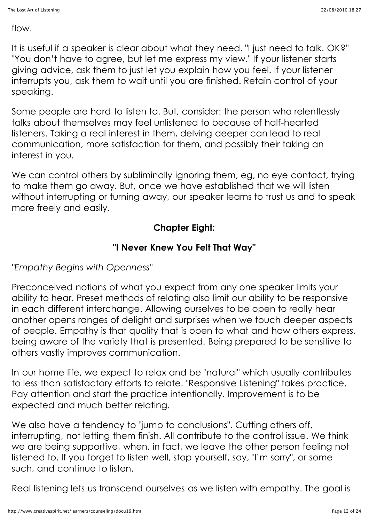flow.

It is useful if a speaker is clear about what they need. "I just need to talk. OK?" "You don't have to agree, but let me express my view." If your listener starts giving advice, ask them to just let you explain how you feel. If your listener interrupts you, ask them to wait until you are finished. Retain control of your speaking.

Some people are hard to listen to. But, consider: the person who relentlessly talks about themselves may feel unlistened to because of half-hearted listeners. Taking a real interest in them, delving deeper can lead to real communication, more satisfaction for them, and possibly their taking an interest in you.

We can control others by subliminally ignoring them, eg, no eye contact, trying to make them go away. But, once we have established that we will listen without interrupting or turning away, our speaker learns to trust us and to speak more freely and easily.

## **Chapter Eight:**

## **"I Never Knew You Felt That Way"**

*"Empathy Begins with Openness"*

Preconceived notions of what you expect from any one speaker limits your ability to hear. Preset methods of relating also limit our ability to be responsive in each different interchange. Allowing ourselves to be open to really hear another opens ranges of delight and surprises when we touch deeper aspects of people. Empathy is that quality that is open to what and how others express, being aware of the variety that is presented. Being prepared to be sensitive to others vastly improves communication.

In our home life, we expect to relax and be "natural" which usually contributes to less than satisfactory efforts to relate. "Responsive Listening" takes practice. Pay attention and start the practice intentionally. Improvement is to be expected and much better relating.

We also have a tendency to "jump to conclusions". Cutting others off, interrupting, not letting them finish. All contribute to the control issue. We think we are being supportive, when, in fact, we leave the other person feeling not listened to. If you forget to listen well, stop yourself, say, "I'm sorry", or some such, and continue to listen.

Real listening lets us transcend ourselves as we listen with empathy. The goal is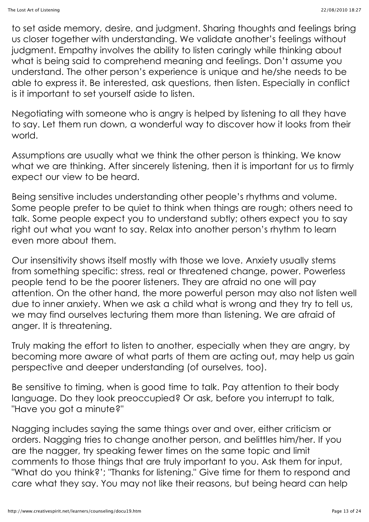to set aside memory, desire, and judgment. Sharing thoughts and feelings bring us closer together with understanding. We validate another's feelings without judgment. Empathy involves the ability to listen caringly while thinking about what is being said to comprehend meaning and feelings. Don't assume you understand. The other person's experience is unique and he/she needs to be able to express it. Be interested, ask questions, then listen. Especially in conflict is it important to set yourself aside to listen.

Negotiating with someone who is angry is helped by listening to all they have to say. Let them run down, a wonderful way to discover how it looks from their world.

Assumptions are usually what we think the other person is thinking. We know what we are thinking. After sincerely listening, then it is important for us to firmly expect our view to be heard.

Being sensitive includes understanding other people's rhythms and volume. Some people prefer to be quiet to think when things are rough; others need to talk. Some people expect you to understand subtly; others expect you to say right out what you want to say. Relax into another person's rhythm to learn even more about them.

Our insensitivity shows itself mostly with those we love. Anxiety usually stems from something specific: stress, real or threatened change, power. Powerless people tend to be the poorer listeners. They are afraid no one will pay attention. On the other hand, the more powerful person may also not listen well due to inner anxiety. When we ask a child what is wrong and they try to tell us, we may find ourselves lecturing them more than listening. We are afraid of anger. It is threatening.

Truly making the effort to listen to another, especially when they are angry, by becoming more aware of what parts of them are acting out, may help us gain perspective and deeper understanding (of ourselves, too).

Be sensitive to timing, when is good time to talk. Pay attention to their body language. Do they look preoccupied? Or ask, before you interrupt to talk, "Have you got a minute?"

Nagging includes saying the same things over and over, either criticism or orders. Nagging tries to change another person, and belittles him/her. If you are the nagger, try speaking fewer times on the same topic and limit comments to those things that are truly important to you. Ask them for input, "What do you think?'; "Thanks for listening." Give time for them to respond and care what they say. You may not like their reasons, but being heard can help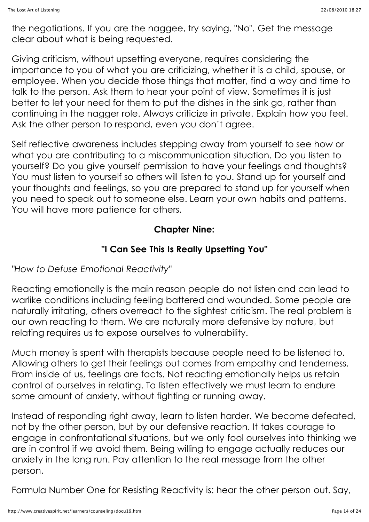the negotiations. If you are the naggee, try saying, "No". Get the message clear about what is being requested.

Giving criticism, without upsetting everyone, requires considering the importance to you of what you are criticizing, whether it is a child, spouse, or employee. When you decide those things that matter, find a way and time to talk to the person. Ask them to hear your point of view. Sometimes it is just better to let your need for them to put the dishes in the sink go, rather than continuing in the nagger role. Always criticize in private. Explain how you feel. Ask the other person to respond, even you don't agree.

Self reflective awareness includes stepping away from yourself to see how or what you are contributing to a miscommunication situation. Do you listen to yourself? Do you give yourself permission to have your feelings and thoughts? You must listen to yourself so others will listen to you. Stand up for yourself and your thoughts and feelings, so you are prepared to stand up for yourself when you need to speak out to someone else. Learn your own habits and patterns. You will have more patience for others.

## **Chapter Nine:**

## **"I Can See This Is Really Upsetting You"**

*"How to Defuse Emotional Reactivity"*

Reacting emotionally is the main reason people do not listen and can lead to warlike conditions including feeling battered and wounded. Some people are naturally irritating, others overreact to the slightest criticism. The real problem is our own reacting to them. We are naturally more defensive by nature, but relating requires us to expose ourselves to vulnerability.

Much money is spent with therapists because people need to be listened to. Allowing others to get their feelings out comes from empathy and tenderness. From inside of us, feelings are facts. Not reacting emotionally helps us retain control of ourselves in relating. To listen effectively we must learn to endure some amount of anxiety, without fighting or running away.

Instead of responding right away, learn to listen harder. We become defeated, not by the other person, but by our defensive reaction. It takes courage to engage in confrontational situations, but we only fool ourselves into thinking we are in control if we avoid them. Being willing to engage actually reduces our anxiety in the long run. Pay attention to the real message from the other person.

Formula Number One for Resisting Reactivity is: hear the other person out. Say,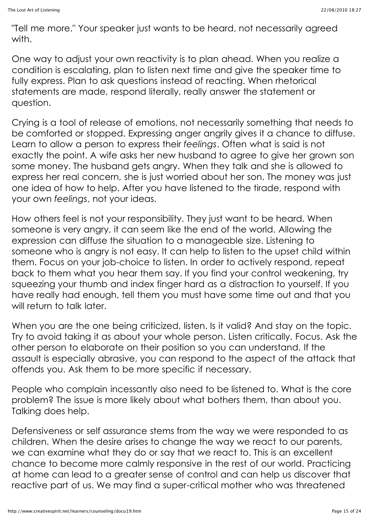"Tell me more." Your speaker just wants to be heard, not necessarily agreed with.

One way to adjust your own reactivity is to plan ahead. When you realize a condition is escalating, plan to listen next time and give the speaker time to fully express. Plan to ask questions instead of reacting. When rhetorical statements are made, respond literally, really answer the statement or question.

Crying is a tool of release of emotions, not necessarily something that needs to be comforted or stopped. Expressing anger angrily gives it a chance to diffuse. Learn to allow a person to express their *feelings*. Often what is said is not exactly the point. A wife asks her new husband to agree to give her grown son some money. The husband gets angry. When they talk and she is allowed to express her real concern, she is just worried about her son. The money was just one idea of how to help. After you have listened to the tirade, respond with your own *feelings*, not your ideas.

How others feel is not your responsibility. They just want to be heard. When someone is very angry, it can seem like the end of the world. Allowing the expression can diffuse the situation to a manageable size. Listening to someone who is angry is not easy. It can help to listen to the upset child within them. Focus on your job-choice to listen. In order to actively respond, repeat back to them what you hear them say. If you find your control weakening, try squeezing your thumb and index finger hard as a distraction to yourself. If you have really had enough, tell them you must have some time out and that you will return to talk later.

When you are the one being criticized, listen. Is it valid? And stay on the topic. Try to avoid taking it as about your whole person. Listen critically. Focus. Ask the other person to elaborate on their position so you can understand. If the assault is especially abrasive, you can respond to the aspect of the attack that offends you. Ask them to be more specific if necessary.

People who complain incessantly also need to be listened to. What is the core problem? The issue is more likely about what bothers them, than about you. Talking does help.

Defensiveness or self assurance stems from the way we were responded to as children. When the desire arises to change the way we react to our parents, we can examine what they do or say that we react to. This is an excellent chance to become more calmly responsive in the rest of our world. Practicing at home can lead to a greater sense of control and can help us discover that reactive part of us. We may find a super-critical mother who was threatened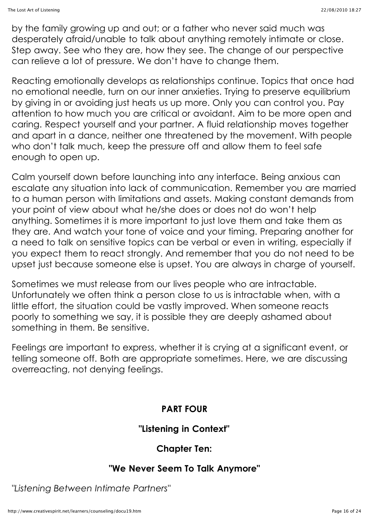by the family growing up and out; or a father who never said much was desperately afraid/unable to talk about anything remotely intimate or close. Step away. See who they are, how they see. The change of our perspective can relieve a lot of pressure. We don't have to change them.

Reacting emotionally develops as relationships continue. Topics that once had no emotional needle, turn on our inner anxieties. Trying to preserve equilibrium by giving in or avoiding just heats us up more. Only you can control you. Pay attention to how much you are critical or avoidant. Aim to be more open and caring. Respect yourself and your partner. A fluid relationship moves together and apart in a dance, neither one threatened by the movement. With people who don't talk much, keep the pressure off and allow them to feel safe enough to open up.

Calm yourself down before launching into any interface. Being anxious can escalate any situation into lack of communication. Remember you are married to a human person with limitations and assets. Making constant demands from your point of view about what he/she does or does not do won't help anything. Sometimes it is more important to just love them and take them as they are. And watch your tone of voice and your timing. Preparing another for a need to talk on sensitive topics can be verbal or even in writing, especially if you expect them to react strongly. And remember that you do not need to be upset just because someone else is upset. You are always in charge of yourself.

Sometimes we must release from our lives people who are intractable. Unfortunately we often think a person close to us is intractable when, with a little effort, the situation could be vastly improved. When someone reacts poorly to something we say, it is possible they are deeply ashamed about something in them. Be sensitive.

Feelings are important to express, whether it is crying at a significant event, or telling someone off. Both are appropriate sometimes. Here, we are discussing overreacting, not denying feelings.

#### **PART FOUR**

#### **"Listening in Context"**

#### **Chapter Ten:**

#### **"We Never Seem To Talk Anymore"**

*"Listening Between Intimate Partners"*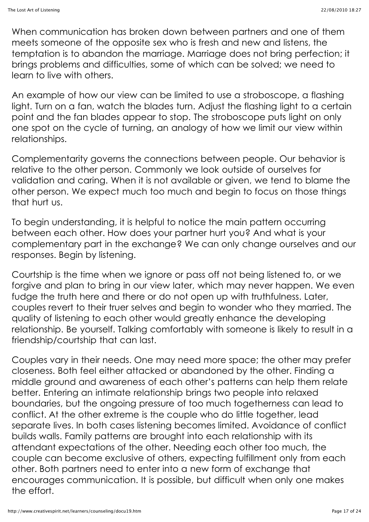When communication has broken down between partners and one of them meets someone of the opposite sex who is fresh and new and listens, the temptation is to abandon the marriage. Marriage does not bring perfection; it brings problems and difficulties, some of which can be solved; we need to learn to live with others.

An example of how our view can be limited to use a stroboscope, a flashing light. Turn on a fan, watch the blades turn. Adjust the flashing light to a certain point and the fan blades appear to stop. The stroboscope puts light on only one spot on the cycle of turning, an analogy of how we limit our view within relationships.

Complementarity governs the connections between people. Our behavior is relative to the other person. Commonly we look outside of ourselves for validation and caring. When it is not available or given, we tend to blame the other person. We expect much too much and begin to focus on those things that hurt us.

To begin understanding, it is helpful to notice the main pattern occurring between each other. How does your partner hurt you? And what is your complementary part in the exchange? We can only change ourselves and our responses. Begin by listening.

Courtship is the time when we ignore or pass off not being listened to, or we forgive and plan to bring in our view later, which may never happen. We even fudge the truth here and there or do not open up with truthfulness. Later, couples revert to their truer selves and begin to wonder who they married. The quality of listening to each other would greatly enhance the developing relationship. Be yourself. Talking comfortably with someone is likely to result in a friendship/courtship that can last.

Couples vary in their needs. One may need more space; the other may prefer closeness. Both feel either attacked or abandoned by the other. Finding a middle ground and awareness of each other's patterns can help them relate better. Entering an intimate relationship brings two people into relaxed boundaries, but the ongoing pressure of too much togetherness can lead to conflict. At the other extreme is the couple who do little together, lead separate lives. In both cases listening becomes limited. Avoidance of conflict builds walls. Family patterns are brought into each relationship with its attendant expectations of the other. Needing each other too much, the couple can become exclusive of others, expecting fulfillment only from each other. Both partners need to enter into a new form of exchange that encourages communication. It is possible, but difficult when only one makes the effort.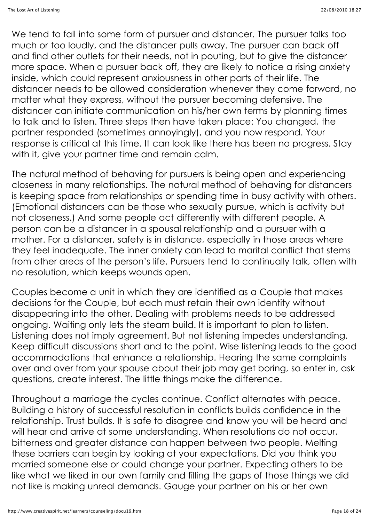We tend to fall into some form of pursuer and distancer. The pursuer talks too much or too loudly, and the distancer pulls away. The pursuer can back off and find other outlets for their needs, not in pouting, but to give the distancer more space. When a pursuer back off, they are likely to notice a rising anxiety inside, which could represent anxiousness in other parts of their life. The distancer needs to be allowed consideration whenever they come forward, no matter what they express, without the pursuer becoming defensive. The distancer can initiate communication on his/her own terms by planning times to talk and to listen. Three steps then have taken place: You changed, the partner responded (sometimes annoyingly), and you now respond. Your response is critical at this time. It can look like there has been no progress. Stay with it, give your partner time and remain calm.

The natural method of behaving for pursuers is being open and experiencing closeness in many relationships. The natural method of behaving for distancers is keeping space from relationships or spending time in busy activity with others. (Emotional distancers can be those who sexually pursue, which is activity but not closeness.) And some people act differently with different people. A person can be a distancer in a spousal relationship and a pursuer with a mother. For a distancer, safety is in distance, especially in those areas where they feel inadequate. The inner anxiety can lead to marital conflict that stems from other areas of the person's life. Pursuers tend to continually talk, often with no resolution, which keeps wounds open.

Couples become a unit in which they are identified as a Couple that makes decisions for the Couple, but each must retain their own identity without disappearing into the other. Dealing with problems needs to be addressed ongoing. Waiting only lets the steam build. It is important to plan to listen. Listening does not imply agreement. But not listening impedes understanding. Keep difficult discussions short and to the point. Wise listening leads to the good accommodations that enhance a relationship. Hearing the same complaints over and over from your spouse about their job may get boring, so enter in, ask questions, create interest. The little things make the difference.

Throughout a marriage the cycles continue. Conflict alternates with peace. Building a history of successful resolution in conflicts builds confidence in the relationship. Trust builds. It is safe to disagree and know you will be heard and will hear and arrive at some understanding. When resolutions do not occur, bitterness and greater distance can happen between two people. Melting these barriers can begin by looking at your expectations. Did you think you married someone else or could change your partner. Expecting others to be like what we liked in our own family and filling the gaps of those things we did not like is making unreal demands. Gauge your partner on his or her own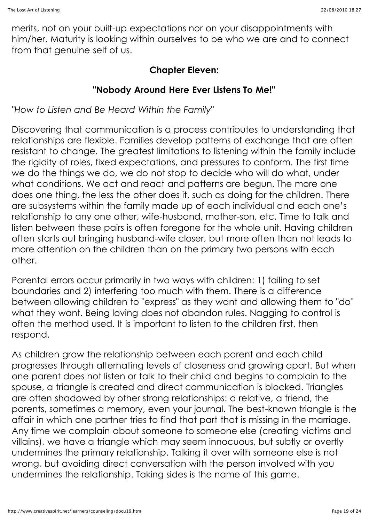merits, not on your built-up expectations nor on your disappointments with him/her. Maturity is looking within ourselves to be who we are and to connect from that genuine self of us.

#### **Chapter Eleven:**

## **"Nobody Around Here Ever Listens To Me!"**

*"How to Listen and Be Heard Within the Family"*

Discovering that communication is a process contributes to understanding that relationships are flexible. Families develop patterns of exchange that are often resistant to change. The greatest limitations to listening within the family include the rigidity of roles, fixed expectations, and pressures to conform. The first time we do the things we do, we do not stop to decide who will do what, under what conditions. We act and react and patterns are begun. The more one does one thing, the less the other does it, such as doing for the children. There are subsystems within the family made up of each individual and each one's relationship to any one other, wife-husband, mother-son, etc. Time to talk and listen between these pairs is often foregone for the whole unit. Having children often starts out bringing husband-wife closer, but more often than not leads to more attention on the children than on the primary two persons with each other.

Parental errors occur primarily in two ways with children: 1) failing to set boundaries and 2) interfering too much with them. There is a difference between allowing children to "express" as they want and allowing them to "do" what they want. Being loving does not abandon rules. Nagging to control is often the method used. It is important to listen to the children first, then respond.

As children grow the relationship between each parent and each child progresses through alternating levels of closeness and growing apart. But when one parent does not listen or talk to their child and begins to complain to the spouse, a triangle is created and direct communication is blocked. Triangles are often shadowed by other strong relationships: a relative, a friend, the parents, sometimes a memory, even your journal. The best-known triangle is the affair in which one partner tries to find that part that is missing in the marriage. Any time we complain about someone to someone else (creating victims and villains), we have a triangle which may seem innocuous, but subtly or overtly undermines the primary relationship. Talking it over with someone else is not wrong, but avoiding direct conversation with the person involved with you undermines the relationship. Taking sides is the name of this game.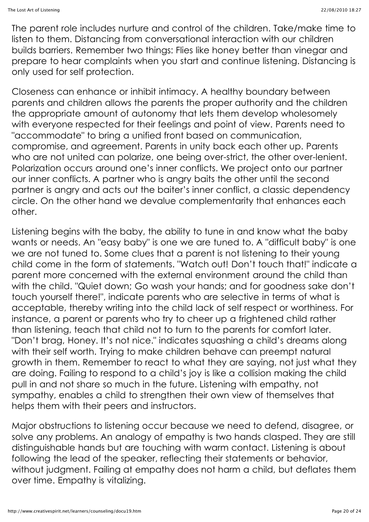The parent role includes nurture and control of the children. Take/make time to listen to them. Distancing from conversational interaction with our children builds barriers. Remember two things: Flies like honey better than vinegar and prepare to hear complaints when you start and continue listening. Distancing is only used for self protection.

Closeness can enhance or inhibit intimacy. A healthy boundary between parents and children allows the parents the proper authority and the children the appropriate amount of autonomy that lets them develop wholesomely with everyone respected for their feelings and point of view. Parents need to "accommodate" to bring a unified front based on communication, compromise, and agreement. Parents in unity back each other up. Parents who are not united can polarize, one being over-strict, the other over-lenient. Polarization occurs around one's inner conflicts. We project onto our partner our inner conflicts. A partner who is angry baits the other until the second partner is angry and acts out the baiter's inner conflict, a classic dependency circle. On the other hand we devalue complementarity that enhances each other.

Listening begins with the baby, the ability to tune in and know what the baby wants or needs. An "easy baby" is one we are tuned to. A "difficult baby" is one we are not tuned to. Some clues that a parent is not listening to their young child come in the form of statements. "Watch out! Don't touch that!" indicate a parent more concerned with the external environment around the child than with the child. "Quiet down; Go wash your hands; and for goodness sake don't touch yourself there!", indicate parents who are selective in terms of what is acceptable, thereby writing into the child lack of self respect or worthiness. For instance, a parent or parents who try to cheer up a frightened child rather than listening, teach that child not to turn to the parents for comfort later. "Don't brag, Honey. It's not nice." indicates squashing a child's dreams along with their self worth. Trying to make children behave can preempt natural growth in them. Remember to react to what they are saying, not just what they are doing. Failing to respond to a child's joy is like a collision making the child pull in and not share so much in the future. Listening with empathy, not sympathy, enables a child to strengthen their own view of themselves that helps them with their peers and instructors.

Major obstructions to listening occur because we need to defend, disagree, or solve any problems. An analogy of empathy is two hands clasped. They are still distinguishable hands but are touching with warm contact. Listening is about following the lead of the speaker, reflecting their statements or behavior, without judgment. Failing at empathy does not harm a child, but deflates them over time. Empathy is vitalizing.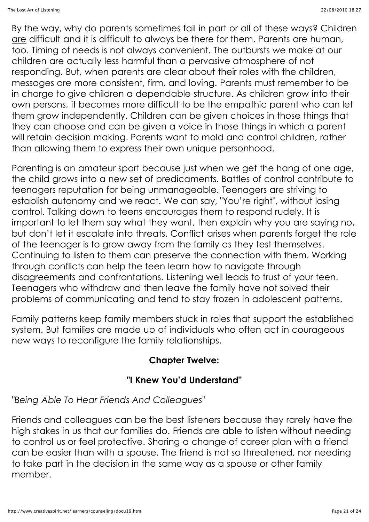By the way, why do parents sometimes fail in part or all of these ways? Children are difficult and it is difficult to always be there for them. Parents are human, too. Timing of needs is not always convenient. The outbursts we make at our children are actually less harmful than a pervasive atmosphere of not responding. But, when parents are clear about their roles with the children, messages are more consistent, firm, and loving. Parents must remember to be in charge to give children a dependable structure. As children grow into their own persons, it becomes more difficult to be the empathic parent who can let them grow independently. Children can be given choices in those things that they can choose and can be given a voice in those things in which a parent will retain decision making. Parents want to mold and control children, rather than allowing them to express their own unique personhood.

Parenting is an amateur sport because just when we get the hang of one age, the child grows into a new set of predicaments. Battles of control contribute to teenagers reputation for being unmanageable. Teenagers are striving to establish autonomy and we react. We can say, "You're right", without losing control. Talking down to teens encourages them to respond rudely. It is important to let them say what they want, then explain why you are saying no, but don't let it escalate into threats. Conflict arises when parents forget the role of the teenager is to grow away from the family as they test themselves. Continuing to listen to them can preserve the connection with them. Working through conflicts can help the teen learn how to navigate through disagreements and confrontations. Listening well leads to trust of your teen. Teenagers who withdraw and then leave the family have not solved their problems of communicating and tend to stay frozen in adolescent patterns.

Family patterns keep family members stuck in roles that support the established system. But families are made up of individuals who often act in courageous new ways to reconfigure the family relationships.

#### **Chapter Twelve:**

#### **"I Knew You'd Understand"**

*"Being Able To Hear Friends And Colleagues"*

Friends and colleagues can be the best listeners because they rarely have the high stakes in us that our families do. Friends are able to listen without needing to control us or feel protective. Sharing a change of career plan with a friend can be easier than with a spouse. The friend is not so threatened, nor needing to take part in the decision in the same way as a spouse or other family member.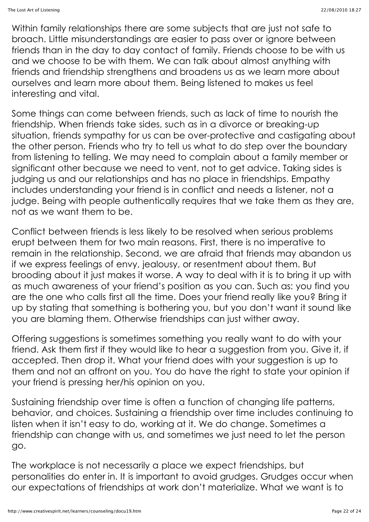Within family relationships there are some subjects that are just not safe to broach. Little misunderstandings are easier to pass over or ignore between friends than in the day to day contact of family. Friends choose to be with us and we choose to be with them. We can talk about almost anything with friends and friendship strengthens and broadens us as we learn more about ourselves and learn more about them. Being listened to makes us feel interesting and vital.

Some things can come between friends, such as lack of time to nourish the friendship. When friends take sides, such as in a divorce or breaking-up situation, friends sympathy for us can be over-protective and castigating about the other person. Friends who try to tell us what to do step over the boundary from listening to telling. We may need to complain about a family member or significant other because we need to vent, not to get advice. Taking sides is judging us and our relationships and has no place in friendships. Empathy includes understanding your friend is in conflict and needs a listener, not a judge. Being with people authentically requires that we take them as they are, not as we want them to be.

Conflict between friends is less likely to be resolved when serious problems erupt between them for two main reasons. First, there is no imperative to remain in the relationship. Second, we are afraid that friends may abandon us if we express feelings of envy, jealousy, or resentment about them. But brooding about it just makes it worse. A way to deal with it is to bring it up with as much awareness of your friend's position as you can. Such as: you find you are the one who calls first all the time. Does your friend really like you? Bring it up by stating that something is bothering you, but you don't want it sound like you are blaming them. Otherwise friendships can just wither away.

Offering suggestions is sometimes something you really want to do with your friend. Ask them first if they would like to hear a suggestion from you. Give it, if accepted. Then drop it. What your friend does with your suggestion is up to them and not an affront on you. You do have the right to state your opinion if your friend is pressing her/his opinion on you.

Sustaining friendship over time is often a function of changing life patterns, behavior, and choices. Sustaining a friendship over time includes continuing to listen when it isn't easy to do, working at it. We do change. Sometimes a friendship can change with us, and sometimes we just need to let the person go.

The workplace is not necessarily a place we expect friendships, but personalities do enter in. It is important to avoid grudges. Grudges occur when our expectations of friendships at work don't materialize. What we want is to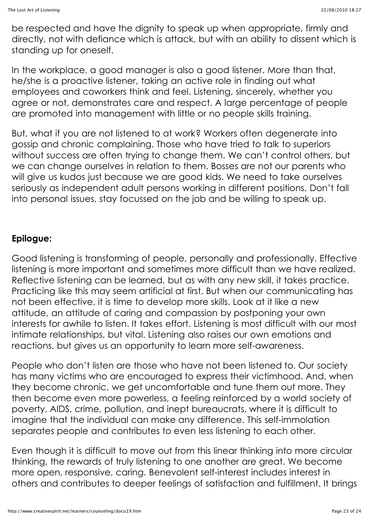be respected and have the dignity to speak up when appropriate, firmly and directly, not with defiance which is attack, but with an ability to dissent which is standing up for oneself.

In the workplace, a good manager is also a good listener. More than that, he/she is a proactive listener, taking an active role in finding out what employees and coworkers think and feel. Listening, sincerely, whether you agree or not, demonstrates care and respect. A large percentage of people are promoted into management with little or no people skills training.

But, what if you are not listened to at work? Workers often degenerate into gossip and chronic complaining. Those who have tried to talk to superiors without success are often trying to change them. We can't control others, but we can change ourselves in relation to them. Bosses are not our parents who will give us kudos just because we are good kids. We need to take ourselves seriously as independent adult persons working in different positions. Don't fall into personal issues, stay focussed on the job and be willing to speak up.

#### **Epilogue:**

Good listening is transforming of people, personally and professionally. Effective listening is more important and sometimes more difficult than we have realized. Reflective listening can be learned, but as with any new skill, it takes practice. Practicing like this may seem artificial at first. But when our communicating has not been effective, it is time to develop more skills. Look at it like a new attitude, an attitude of caring and compassion by postponing your own interests for awhile to listen. It takes effort. Listening is most difficult with our most intimate relationships, but vital. Listening also raises our own emotions and reactions, but gives us an opportunity to learn more self-awareness.

People who don't listen are those who have not been listened to. Our society has many victims who are encouraged to express their victimhood. And, when they become chronic, we get uncomfortable and tune them out more. They then become even more powerless, a feeling reinforced by a world society of poverty, AIDS, crime, pollution, and inept bureaucrats, where it is difficult to imagine that the individual can make any difference. This self-immolation separates people and contributes to even less listening to each other.

Even though it is difficult to move out from this linear thinking into more circular thinking, the rewards of truly listening to one another are great. We become more open, responsive, caring. Benevolent self-interest includes interest in others and contributes to deeper feelings of satisfaction and fulfillment. It brings